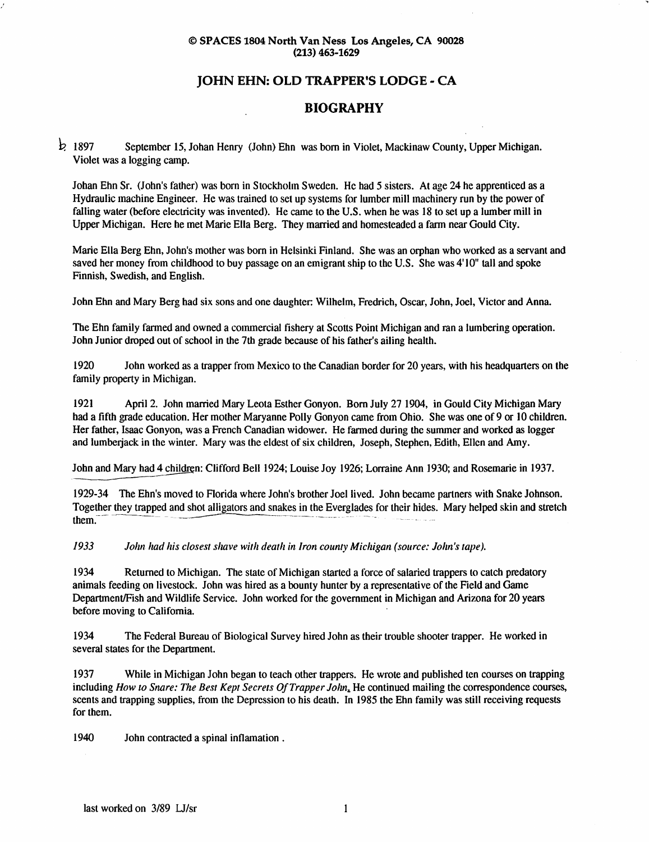#### © SPACES 1804 North Van Ness Los Angeles, CA 90028 (213) 463-1629

## JOHN EHN: OLD TRAPPER'S LODGE - CA

### BIOGRAPHY

 $\frac{1}{2}$  1897 September 15, Johan Henry (John) Ehn was born in Violet, Mackinaw County, Upper Michigan. Violet was a logging camp.

Johan Ehn Sr. (John's father) was born in Stockholm Sweden. He had 5 sisters. At age 24 he apprenticed as a Hydraulic machine Engineer. He was trained to set up systems for lumber mill machinery run by the power of falling water (before electricity was invented). He came to the U.S. when he was 18 to set up a lumber mill in Upper Michigan. Here he met Marie Ella Berg. They married and homesteaded a farm near Gould City.

Marie Ella Berg Ehn, John's mother was born in Helsinki Finland. She was an orphan who worked as a servant and saved her money from childhood to buy passage on an emigrant ship to the U.S. She was 4'10" tall and spoke Finnish, Swedish, and English.

John Ehn and Mary Berg had six sons and one daughter: Wilhelm, Fredrich, Oscar, John, Joel, Victor and Anna.

The Ehn family farmed and owned a commercial fishery at Scotts Point Michigan and ran a lumbering operation. John Junior droped out of school in the 7th grade because of his father's ailing health.

1920 John worked as a trapper from Mexico to the Canadian border for 20 years, with his headquarters on the family property in Michigan.

1921 April 2. John married Mary Leota Esther Gonyon. Bom July 27 1904, in Gould City Michigan Mary had a fifth grade education. Her mother Maryanne Polly Gonyon came from Ohio. She was one of 9 or 10 children. Her father, Isaac Gonyon, was a French Canadian widower. He farmed during the summer and worked as logger and lumberjack in the winter. Mary was the eldest of six children, Joseph, Stephen, Edith, Ellen and Amy.

John and Mary had 4 children: Clifford Bell 1924; Louise Joy 1926; Lorraine Ann 1930; and Rosemarie in 1937.

1929-34 The Ehn's moved to Rorida where John's brother Joel lived. John became partners with Snake Johnson. Together they trapped and shot alligators and snakes in the Everglades for their hides. Mary helped skin and stretch  $\mathbf{m}$ .

I9S3 John had his closest shave with death in Iron county Michigan (source: John's tape).

1934 Returned to Michigan. The state of Michigan started a force of salaried trappers to catch predatory animals feeding on livestock. John was hired as a bounty hunter by a representative of the Field and Game Department/Fish and Wildlife Service. John worked for the government in Michigan and Arizona for 20 years before moving to California.

1934 The Federal Bureau of Biological Survey hired John as their trouble shooter trapper. He worked in several states for the Department.

1937 While in Michigan John began to teach other trappers. He wrote and published ten courses on trapping including How to Snare: The Best Kept Secrets Of Trapper John. He continued mailing the correspondence courses, scents and trapping supplies, from the Depression to his death. In 1985 the Ehn family was still receiving requests for them.

1940 John contracted a spinal inflamation .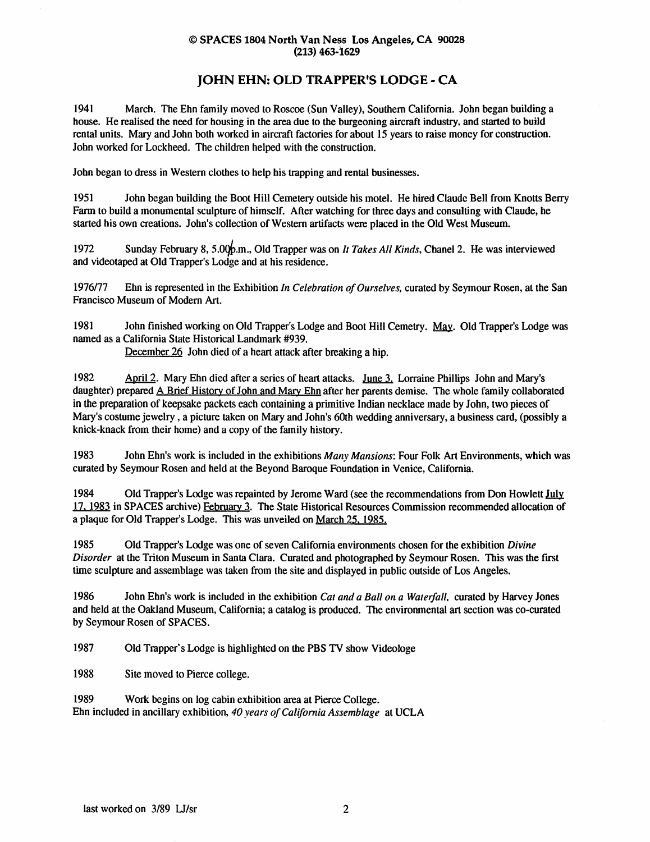#### © SPACES 1804 North Van Ness Los Angeles, CA 90028 (213) 463-1629

## JOHN EHN: OLD TRAPPER'S LODGE - CA

1941 March. The Ehn family moved to Roscoe (Sun Valley), Southern California. John began building a house. He realised the need for housing in the area due to the burgeoning aircraft industry, and started to build rental units. Mary and John both worked in aircraft factories for about 15 years to raise money for construction. John worked for Lockheed. The children helped with the construction.

John began to dress in Western clothes to help his trapping and rental businesses.

1951 John began building the Boot Hill Cemetery outside his motel. He hired Claude Bell from Knotts Berry Farm to build a monumental sculpture of himself. After watching for three days and consulting with Claude, he started his own creations. John's collection of Western artifacts were placed in the Old West Museum.

1972 Sunday February 8, 5.00 $\oint_{\mathcal{D}}$ .m., Old Trapper was on It Takes All Kinds, Chanel 2. He was interviewed and videotaped at Old Trapper's Lodge and at his residence.

1976/77 Ehn is represented in the Exhibition In Celebration of Ourselves, curated by Seymour Rosen, at the San Francisco Museum of Modem Art.

1981 John finished working on Old Trapper's Lodge and Boot Hill Cemetry. May. Old Trapper's Lodge was named as a California State Historical Landmark #939.

December 26 John died of a heart attack after breaking a hip.

1982 April 2. Mary Ehn died after a series of heart attacks. June 3. Lorraine Phillips John and Mary's daughter) prepared A Brief History of John and Mary Ehn after her parents demise. The whole family collaborated in the preparation of keepsake packets each containing a primitive Indian necklace made by John, two pieces of Mary's costume jewelry, a picture taken on Mary and John's 60th wedding anniversary, a business card, (possibly a knick-knack from their home) and a copy of the family history.

1983 John Ehn's work is included in the exhibitions Many Mansions: Four Folk Art Environments, which was curated by Seymour Rosen and held at the Beyond Baroque Foundation in Venice, California.

1984 Old Trapper's Lodge was repainted by Jerome Ward (see the recommendations from Don Howlett July 17.1983 in SPACES archive) February 3. The State Historical Resources Commission recommended allocation of a plaque for Old Trapper's Lodge. This was unveiled on March 25. 1985.

1985 Old Trapper's Lodge was one of seven California environments chosen for the exhibition Divine Disorder at the Triton Museum in Santa Clara. Curated and photographed by Seymour Rosen. This was the first time sculpture and assemblage was taken from the site and displayed in public outside of Los Angeles.

1986 John Ehn's work is included in the exhibition Cat and a Ball on a Waterfall, curated by Harvey Jones and held at the Oakland Museum, California; a catalog is produced. The environmental art section was co-curated by Seymour Rosen of SPACES.

1987 Old Trapper's Lodge is highlighted on the PBS TV show Videologe

1988 Site moved to Pierce college.

1989 Work begins on log cabin exhibition area at Pierce College. Ehn included in ancillary exhibition, 40 years of California Assemblage at UCLA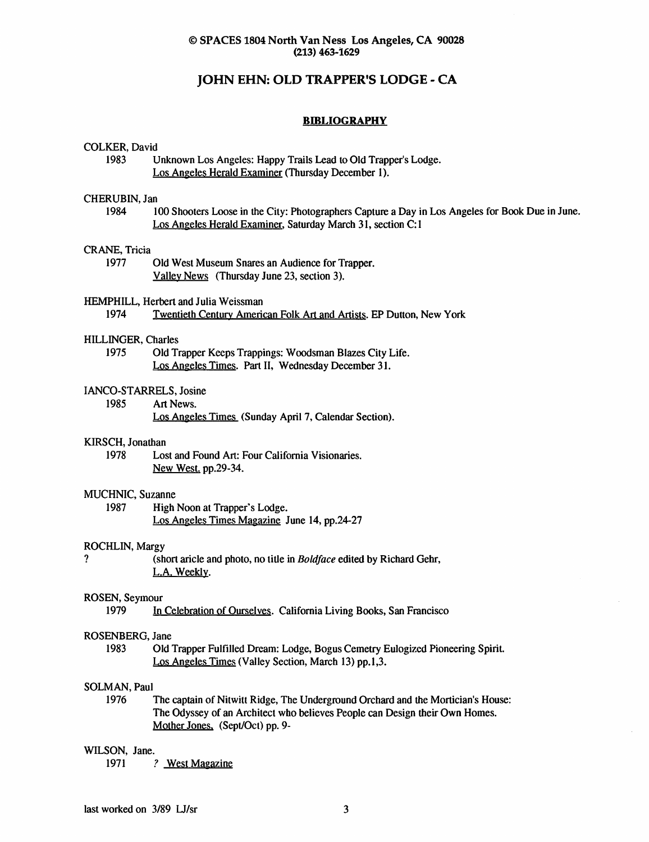#### © SPACES 1804 North Van Ness Los Angeles^ CA 90028 (213) 463-1629

## JOHN EHN: OLD TRAPPER'S LODGE - CA

#### **BIBLIOGRAPHY**

#### COLKER, David

1983 Unknown Los Angeles: Happy Trails Lead to Old Trapper's Lodge. Los Angeles Herald Examiner (Thursday December 1).

#### CHERUBIN, Jan

1984 100 Shooters Loose in the City: Photographers Capture a Day in Los Angeles for Book Due in June. Los Angeles Herald Examiner. Saturday March 31, section C:1

#### CRANE, Tricia

1977 Old West Museum Snares an Audience for Trapper. Valley News (Thursday June 23, section 3).

#### HEMPHILL, Herbert and Julia Weissman

1974 Twentieth Century American Folk Art and Artists. EP Dutton, New York

#### HILLINGER, Charles

1975 Old Trapper Keeps Trappings: Woodsman Blazes City Life. Los Angeles Times. Part II, Wednesday December 31.

#### lANCO-STARRELS, Josine

1985 Art News.

Los Angeles Times (Sunday April 7, Calendar Section),

#### KIRSCH, Jonathan

1978 Lost and Found Art: Four California Visionaries. New West, pp.29-34.

#### MUCHNIC, Suzanne

1987 High Noon at Trapper's Lodge. Los Angeles Times Magazine June 14, pp.24-27

#### ROCHLIN, Margy

? (short aricle and photo, no title in Boldface edited by Richard Gehr, L.A. Weekly.

## ROSEN, Seymour<br>1979 In

In Celebration of Ourselves. California Living Books, San Francisco

#### ROSENBERG, Jane

1983 Old Trapper Fulfilled Dream: Lodge, Bogus Cemetry Eulogized Pioneering Spirit. Los Angeles Times (Valley Section, March 13) pp.1,3.

#### SOLMAN, Paul

1976 The captain of Nitwitt Ridge, The Underground Orchard and the Mortician's House: The Odyssey of an Architect who believes People can Design their Own Homes. Mother Jones, (Sept/Oct) pp. 9-

#### WILSON, Jane.

1971 ? West Magazine